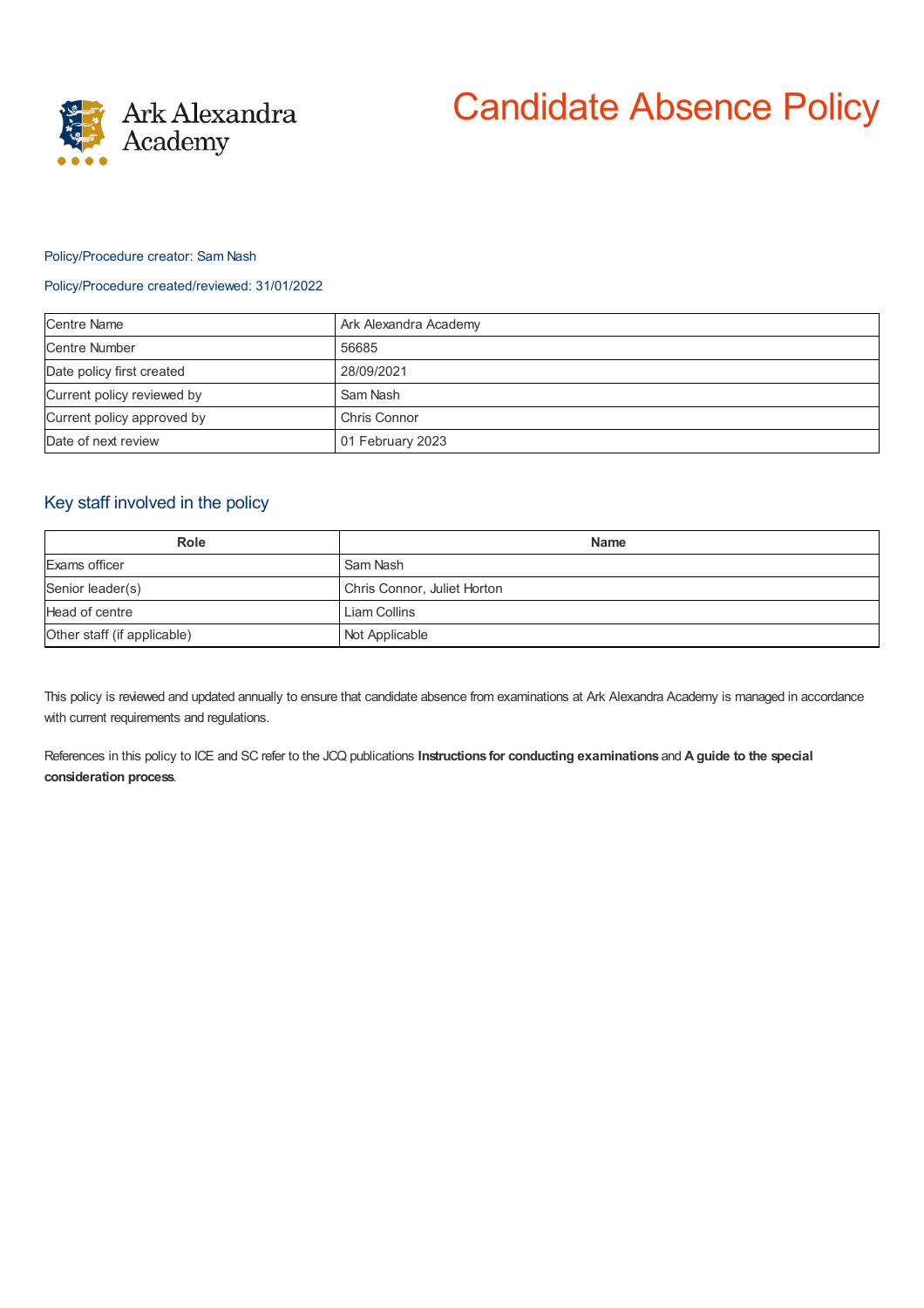

# Candidate Absence Policy

### Policy/Procedure creator: Sam Nash

#### Policy/Procedure created/reviewed: 31/01/2022

| <b>Centre Name</b>         | Ark Alexandra Academy |
|----------------------------|-----------------------|
| <b>Centre Number</b>       | 56685                 |
| Date policy first created  | 28/09/2021            |
| Current policy reviewed by | Sam Nash              |
| Current policy approved by | Chris Connor          |
| Date of next review        | 01 February 2023      |

## Key staff involved in the policy

| <b>Role</b>                 | <b>Name</b>                 |
|-----------------------------|-----------------------------|
| Exams officer               | Sam Nash                    |
| Senior leader(s)            | Chris Connor, Juliet Horton |
| Head of centre              | Liam Collins                |
| Other staff (if applicable) | Not Applicable              |

This policy is reviewed and updated annually to ensure that candidate absence from examinations at Ark Alexandra Academy is managed in accordance with current requirements and regulations.

References in this policy to ICE and SC refer to the JCQ publications **Instructions for conducting examinations** and **A guide to the special consideration process**.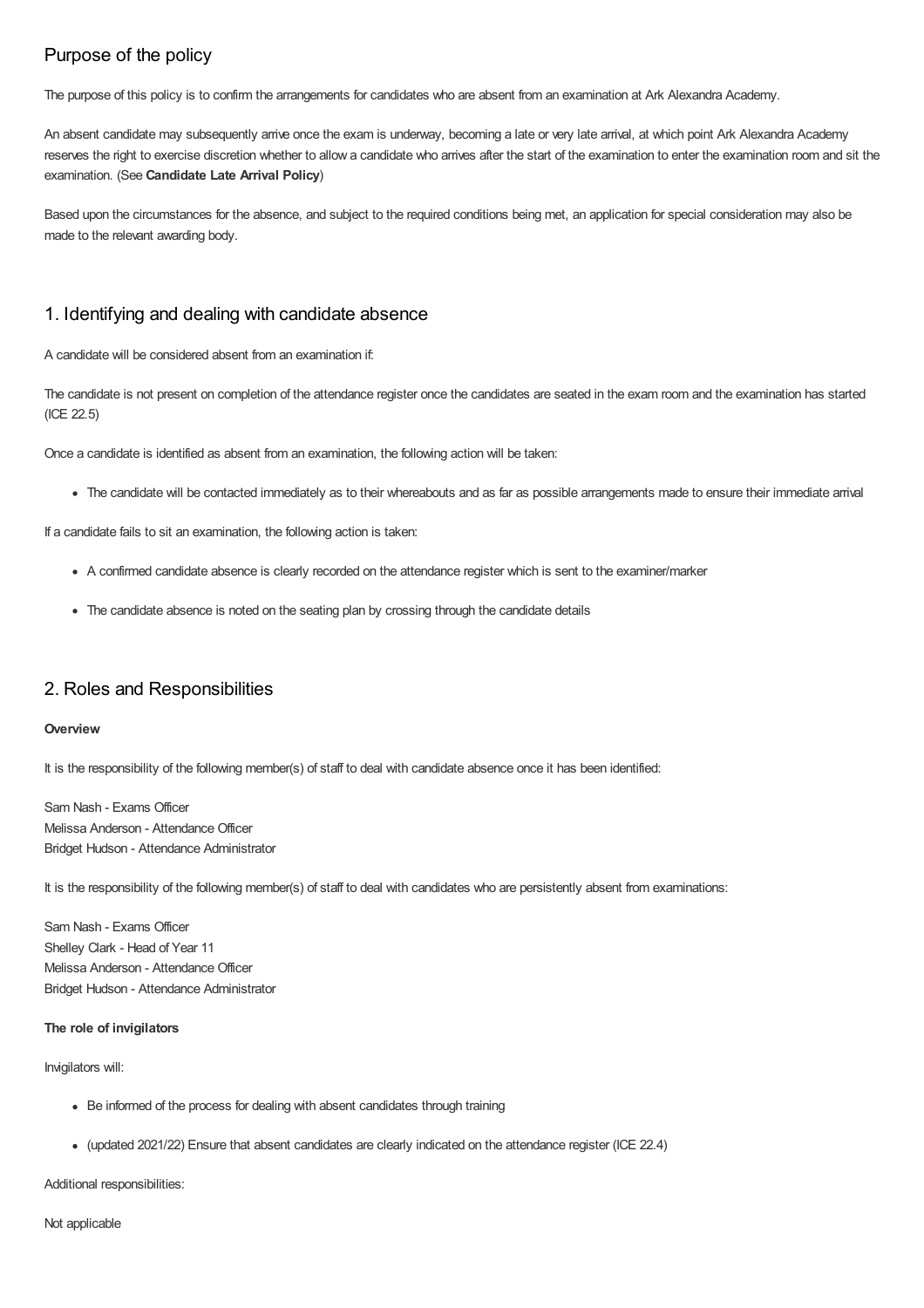# Purpose of the policy

The purpose of this policy is to confirm the arrangements for candidates who are absent from an examination at Ark Alexandra Academy.

An absent candidate may subsequently arrive once the exam is underway, becoming a late or very late arrival, at which point Ark Alexandra Academy reserves the right to exercise discretion whether to allow a candidate who arrives after the start of the examination to enter the examination room and sit the examination. (See **Candidate Late Arrival Policy**)

Based upon the circumstances for the absence, and subject to the required conditions being met, an application for special consideration may also be made to the relevant awarding body.

## 1. Identifying and dealing with candidate absence

A candidate will be considered absent from an examination if:

The candidate is not present on completion of the attendance register once the candidates are seated in the exam room and the examination has started (ICE 22.5)

Once a candidate is identified as absent from an examination, the following action will be taken:

The candidate will be contacted immediately as to their whereabouts and as far as possible arrangements made to ensure their immediate arrival

If a candidate fails to sit an examination, the following action is taken:

- A confirmed candidate absence is clearly recorded on the attendance register which is sent to the examiner/marker
- The candidate absence is noted on the seating plan by crossing through the candidate details

## 2. Roles and Responsibilities

#### **Overview**

It is the responsibility of the following member(s) of staff to deal with candidate absence once it has been identified:

Sam Nash - Exams Officer Melissa Anderson - Attendance Officer Bridget Hudson - Attendance Administrator

It is the responsibility of the following member(s) of staff to deal with candidates who are persistently absent from examinations:

Sam Nash - Exams Officer Shelley Clark - Head of Year 11 Melissa Anderson - Attendance Officer Bridget Hudson - Attendance Administrator

#### **The role of invigilators**

Invigilators will:

- Be informed of the process for dealing with absent candidates through training
- (updated 2021/22) Ensure that absent candidates are clearly indicated on the attendance register (ICE 22.4)

Additional responsibilities:

Not applicable